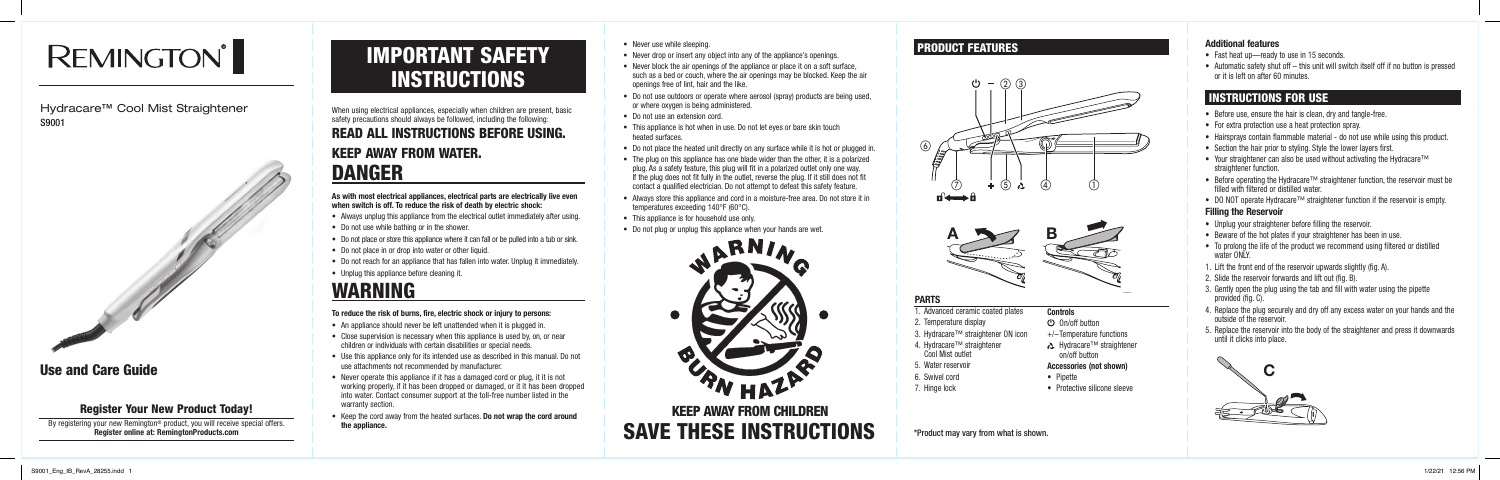#### **Additional features**

- Fast heat up—ready to use in 15 seconds.
- Automatic safety shut off this unit will switch itself off if no button is pressed or it is left on after 60 minutes.

- Before use, ensure the hair is clean, dry and tangle-free.
- For extra protection use a heat protection spray.
- Hairsprays contain flammable material do not use while using this product.
- Section the hair prior to styling. Style the lower layers first.
- Your straightener can also be used without activating the Hydracare™ straightener function.
- Before operating the Hydracare™ straightener function, the reservoir must be filled with filtered or distilled water.
- DO NOT operate Hydracare™ straightener function if the reservoir is empty.

# IMPORTANT SAFETY **INSTRUCTIONS**

#### **Filling the Reservoir**

- Unplug your straightener before filling the reservoir.
- Beware of the hot plates if your straightener has been in use.
- To prolong the life of the product we recommend using filtered or distilled water ONLY.
- 1. Lift the front end of the reservoir upwards slightly (fig. A).
- 2. Slide the reservoir forwards and lift out (fig. B).
- 3. Gently open the plug using the tab and fill with water using the pipette provided (fig. C).
- 4. Replace the plug securely and dry off any excess water on your hands and the outside of the reservoir.
- 5. Replace the reservoir into the body of the straightener and press it downwards until it clicks into place.
- An appliance should never be left unattended when it is plugged in.
- Close supervision is necessary when this appliance is used by, on, or near children or individuals with certain disabilities or special needs.
- Use this appliance only for its intended use as described in this manual. Do not use attachments not recommended by manufacturer.
- Never operate this appliance if it has a damaged cord or plug, it it is not working properly, if it has been dropped or damaged, or it it has been dropped into water. Contact consumer support at the toll-free number listed in the warranty section.
- Keep the cord away from the heated surfaces. **Do not wrap the cord around the appliance.**

When using electrical appliances, especially when children are present, basic safety precautions should always be followed, including the following:

# READ ALL INSTRUCTIONS BEFORE USING. KEEP AWAY FROM WATER. DANGER

**As with most electrical appliances, electrical parts are electrically live even when switch is off. To reduce the risk of death by electric shock:**

- Always unplug this appliance from the electrical outlet immediately after using.
- Do not use while bathing or in the shower.
- Do not place or store this appliance where it can fall or be pulled into a tub or sink.
- Do not place in or drop into water or other liquid.
- Do not reach for an appliance that has fallen into water. Unplug it immediately.
- Unplug this appliance before cleaning it.

Nour new Remington® product, you will receive special offers.<br>Register online at: RemingtonProducts.com **All and SAVE THESE INSTRUCTIONS** KEEP AWAY FROM CHILDREN

# WARNING

#### **To reduce the risk of burns, fire, electric shock or injury to persons:**

- Never use while sleeping.
- Never drop or insert any object into any of the appliance's openings.
- Never block the air openings of the appliance or place it on a soft surface, such as a bed or couch, where the air openings may be blocked. Keep the air openings free of lint, hair and the like.
- Do not use outdoors or operate where aerosol (spray) products are being used, or where oxygen is being administered.
- Do not use an extension cord.
- This appliance is hot when in use. Do not let eyes or bare skin touch heated surfaces.
- Do not place the heated unit directly on any surface while it is hot or plugged in.
- The plug on this appliance has one blade wider than the other, it is a polarized plug. As a safety feature, this plug will fit in a polarized outlet only one way. If the plug does not fit fully in the outlet, reverse the plug. If it still does not fit contact a qualified electrician. Do not attempt to defeat this safety feature.
- Always store this appliance and cord in a moisture-free area. Do not store it in temperatures exceeding 140°F (60°C).
- This appliance is for household use only.
- Do not plug or unplug this appliance when your hands are wet.



### PRODUCT FEATURES

#### **PARTS**

- 1. Advanced ceramic coated plates
- 2. Temperature display
- 3. Hydracare™ straightener ON icon
- 4. Hydracare™ straightener Cool Mist outlet
- 5. Water reservoir
- 6. Swivel cord
- 7. Hinge lock

#### **Controls**

- On/off button
- +/–Temperature functions
- Hydracare™ straightener on/off button

#### **Accessories (not shown)**

- Pipette
- Protective silicone sleeve

# **REMINGTON®**

### Hydracare™ Cool Mist Straightener S9001



# Use and Care Guide

## Register Your New Product Today!

By registering your new Remington<sup>®</sup> product, you will receive special offers.<br>**Register online at: RemingtonProducts.com** 

# INSTRUCTIONS FOR USE